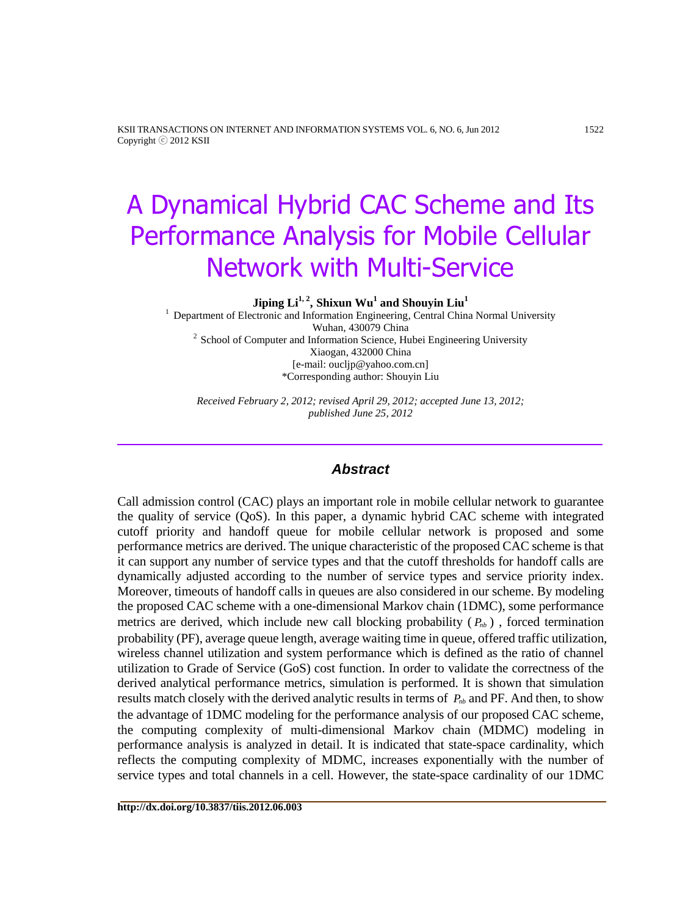KSII TRANSACTIONS ON INTERNET AND INFORMATION SYSTEMS VOL. 6, NO. 6, Jun 2012 1522 Copyright ⓒ 2012 KSII

# A Dynamical Hybrid CAC Scheme and Its Performance Analysis for Mobile Cellular Network with Multi-Service

**Jiping Li1, 2 , Shixun Wu<sup>1</sup> and Shouyin Liu<sup>1</sup>**

<sup>1</sup> Department of Electronic and Information Engineering, Central China Normal University Wuhan, 430079 China  $2$  School of Computer and Information Science, Hubei Engineering University Xiaogan, 432000 China [e-mail: oucljp@yahoo.com.cn] \*Corresponding author: Shouyin Liu

*Received February 2, 2012; revised April 29, 2012; accepted June 13, 2012; published June 25, 2012*

# *Abstract*

Call admission control (CAC) plays an important role in mobile cellular network to guarantee the quality of service (QoS). In this paper, a dynamic hybrid CAC scheme with integrated cutoff priority and handoff queue for mobile cellular network is proposed and some performance metrics are derived. The unique characteristic of the proposed CAC scheme is that it can support any number of service types and that the cutoff thresholds for handoff calls are dynamically adjusted according to the number of service types and service priority index. Moreover, timeouts of handoff calls in queues are also considered in our scheme. By modeling the proposed CAC scheme with a one-dimensional Markov chain (1DMC), some performance metrics are derived, which include new call blocking probability  $(P_{nb})$ , forced termination probability (PF), average queue length, average waiting time in queue, offered traffic utilization, wireless channel utilization and system performance which is defined as the ratio of channel utilization to Grade of Service (GoS) cost function. In order to validate the correctness of the derived analytical performance metrics, simulation is performed. It is shown that simulation results match closely with the derived analytic results in terms of  $P_{nb}$  and PF. And then, to show the advantage of 1DMC modeling for the performance analysis of our proposed CAC scheme, the computing complexity of multi-dimensional Markov chain (MDMC) modeling in performance analysis is analyzed in detail. It is indicated that state-space cardinality, which reflects the computing complexity of MDMC, increases exponentially with the number of service types and total channels in a cell. However, the state-space cardinality of our 1DMC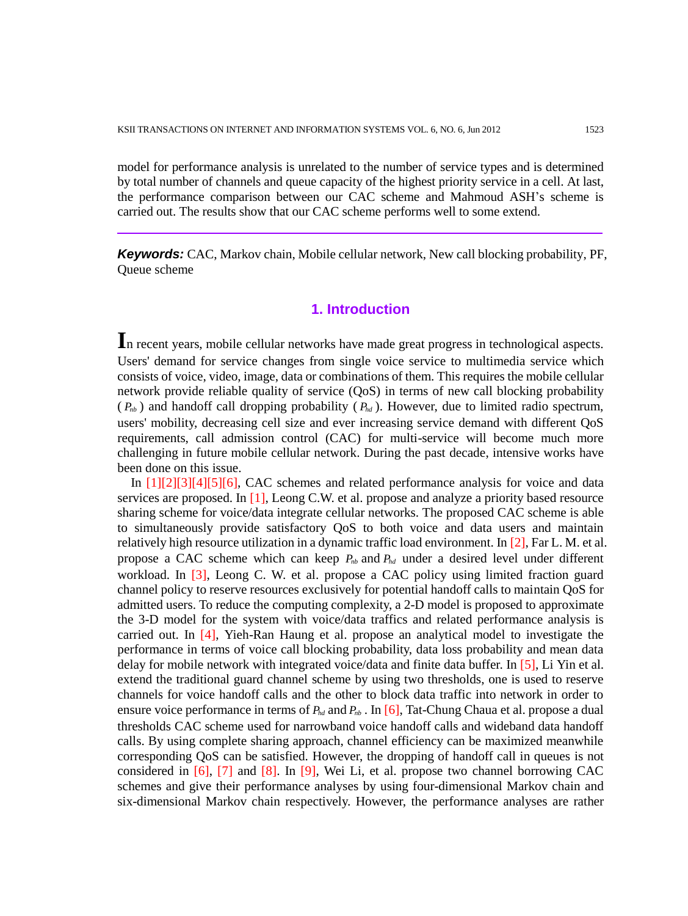model for performance analysis is unrelated to the number of service types and is determined by total number of channels and queue capacity of the highest priority service in a cell. At last, the performance comparison between our CAC scheme and Mahmoud ASH's scheme is carried out. The results show that our CAC scheme performs well to some extend.

*Keywords:* CAC, Markov chain, Mobile cellular network, New call blocking probability, PF, Queue scheme

## **1. Introduction**

**I**n recent years, mobile cellular networks have made great progress in technological aspects. Users' demand for service changes from single voice service to multimedia service which consists of voice, video, image, data or combinations of them. This requires the mobile cellular network provide reliable quality of service (QoS) in terms of new call blocking probability  $(P_{nb})$  and handoff call dropping probability  $(P_{bd})$ . However, due to limited radio spectrum, users' mobility, decreasing cell size and ever increasing service demand with different QoS requirements, call admission control (CAC) for multi-service will become much more challenging in future mobile cellular network. During the past decade, intensive works have been done on this issue.

In [1][2][3][4][5][6], CAC schemes and related performance analysis for voice and data services are proposed. In [1], Leong C.W. et al. propose and analyze a priority based resource sharing scheme for voice/data integrate cellular networks. The proposed CAC scheme is able to simultaneously provide satisfactory QoS to both voice and data users and maintain relatively high resource utilization in a dynamic traffic load environment. In [2], Far L. M. et al. propose a CAC scheme which can keep  $P_{nb}$  and  $P_{hd}$  under a desired level under different workload. In [3], Leong C. W. et al. propose a CAC policy using limited fraction guard channel policy to reserve resources exclusively for potential handoff calls to maintain QoS for admitted users. To reduce the computing complexity, a 2-D model is proposed to approximate the 3-D model for the system with voice/data traffics and related performance analysis is carried out. In [4], Yieh-Ran Haung et al. propose an analytical model to investigate the performance in terms of voice call blocking probability, data loss probability and mean data delay for mobile network with integrated voice/data and finite data buffer. In [5], Li Yin et al. extend the traditional guard channel scheme by using two thresholds, one is used to reserve channels for voice handoff calls and the other to block data traffic into network in order to ensure voice performance in terms of  $P_{hd}$  and  $P_{nb}$ . In [6], Tat-Chung Chaua et al. propose a dual thresholds CAC scheme used for narrowband voice handoff calls and wideband data handoff calls. By using complete sharing approach, channel efficiency can be maximized meanwhile corresponding QoS can be satisfied. However, the dropping of handoff call in queues is not considered in  $[6]$ ,  $[7]$  and  $[8]$ . In  $[9]$ , Wei Li, et al. propose two channel borrowing CAC schemes and give their performance analyses by using four-dimensional Markov chain and six-dimensional Markov chain respectively. However, the performance analyses are rather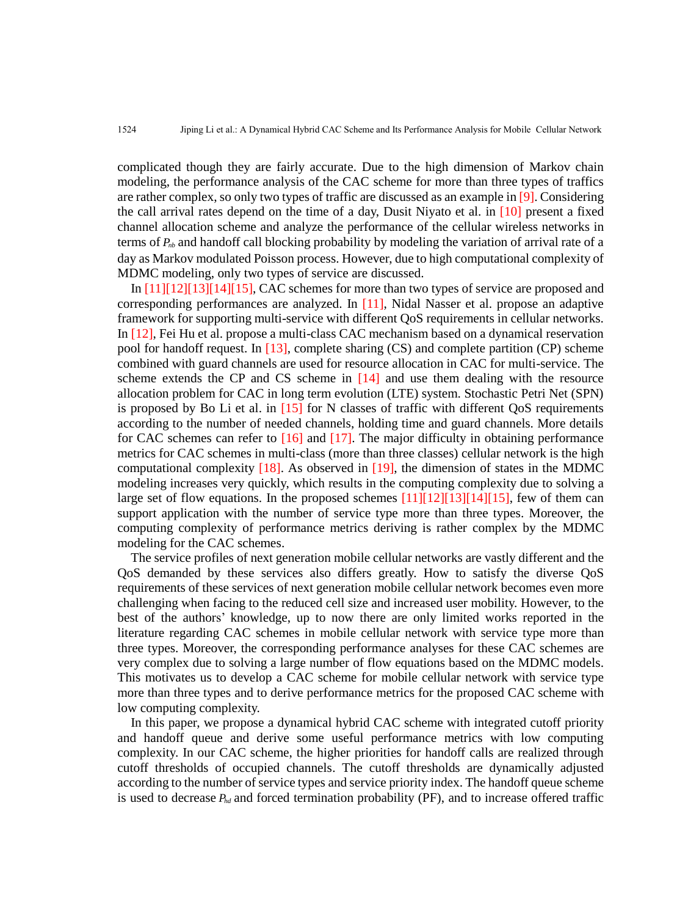complicated though they are fairly accurate. Due to the high dimension of Markov chain modeling, the performance analysis of the CAC scheme for more than three types of traffics are rather complex, so only two types of traffic are discussed as an example in [9]. Considering the call arrival rates depend on the time of a day, Dusit Niyato et al. in  $[10]$  present a fixed channel allocation scheme and analyze the performance of the cellular wireless networks in terms of *Pnb* and handoff call blocking probability by modeling the variation of arrival rate of a day as Markov modulated Poisson process. However, due to high computational complexity of MDMC modeling, only two types of service are discussed.

In [11][12][13][14][15], CAC schemes for more than two types of service are proposed and corresponding performances are analyzed. In [11], Nidal Nasser et al. propose an adaptive framework for supporting multi-service with different QoS requirements in cellular networks. In [12], Fei Hu et al. propose a multi-class CAC mechanism based on a dynamical reservation pool for handoff request. In [13], complete sharing (CS) and complete partition (CP) scheme combined with guard channels are used for resource allocation in CAC for multi-service. The scheme extends the CP and CS scheme in [14] and use them dealing with the resource allocation problem for CAC in long term evolution (LTE) system. Stochastic Petri Net (SPN) is proposed by Bo Li et al. in  $[15]$  for N classes of traffic with different QoS requirements according to the number of needed channels, holding time and guard channels. More details for CAC schemes can refer to  $\lceil 16 \rceil$  and  $\lceil 17 \rceil$ . The major difficulty in obtaining performance metrics for CAC schemes in multi-class (more than three classes) cellular network is the high computational complexity  $[18]$ . As observed in  $[19]$ , the dimension of states in the MDMC modeling increases very quickly, which results in the computing complexity due to solving a large set of flow equations. In the proposed schemes  $[11][12][13][14][15]$ , few of them can support application with the number of service type more than three types. Moreover, the computing complexity of performance metrics deriving is rather complex by the MDMC modeling for the CAC schemes.

The service profiles of next generation mobile cellular networks are vastly different and the QoS demanded by these services also differs greatly. How to satisfy the diverse QoS requirements of these services of next generation mobile cellular network becomes even more challenging when facing to the reduced cell size and increased user mobility. However, to the best of the authors' knowledge, up to now there are only limited works reported in the literature regarding CAC schemes in mobile cellular network with service type more than three types. Moreover, the corresponding performance analyses for these CAC schemes are very complex due to solving a large number of flow equations based on the MDMC models. This motivates us to develop a CAC scheme for mobile cellular network with service type more than three types and to derive performance metrics for the proposed CAC scheme with low computing complexity.

In this paper, we propose a dynamical hybrid CAC scheme with integrated cutoff priority and handoff queue and derive some useful performance metrics with low computing complexity. In our CAC scheme, the higher priorities for handoff calls are realized through cutoff thresholds of occupied channels. The cutoff thresholds are dynamically adjusted according to the number of service types and service priority index. The handoff queue scheme is used to decrease  $P_{hd}$  and forced termination probability (PF), and to increase offered traffic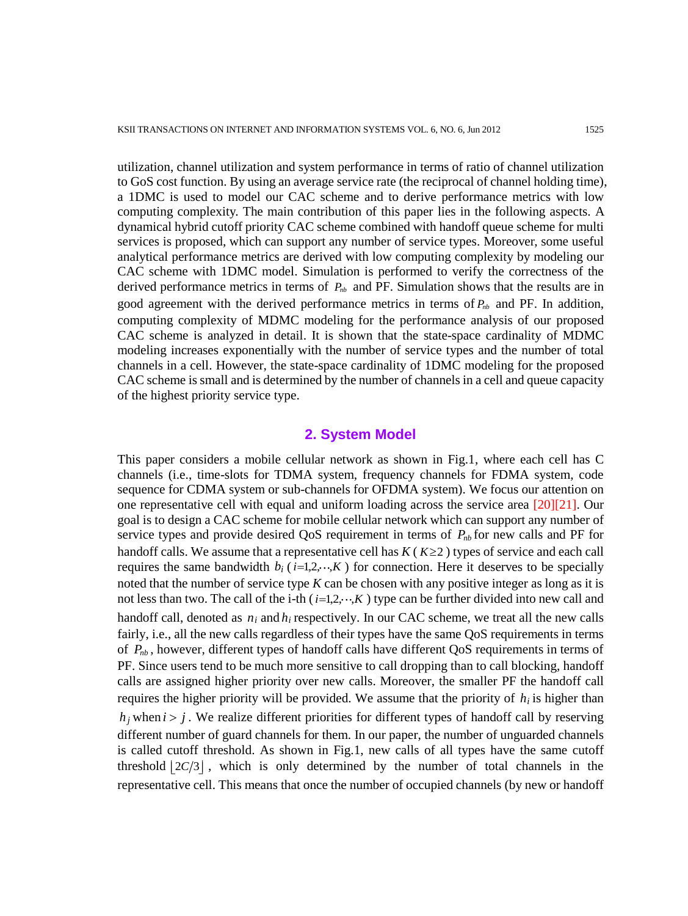utilization, channel utilization and system performance in terms of ratio of channel utilization to GoS cost function. By using an average service rate (the reciprocal of channel holding time), a 1DMC is used to model our CAC scheme and to derive performance metrics with low computing complexity. The main contribution of this paper lies in the following aspects. A dynamical hybrid cutoff priority CAC scheme combined with handoff queue scheme for multi services is proposed, which can support any number of service types. Moreover, some useful analytical performance metrics are derived with low computing complexity by modeling our CAC scheme with 1DMC model. Simulation is performed to verify the correctness of the derived performance metrics in terms of  $P_{nb}$  and PF. Simulation shows that the results are in good agreement with the derived performance metrics in terms of  $P_{nb}$  and PF. In addition, computing complexity of MDMC modeling for the performance analysis of our proposed CAC scheme is analyzed in detail. It is shown that the state-space cardinality of MDMC modeling increases exponentially with the number of service types and the number of total channels in a cell. However, the state-space cardinality of 1DMC modeling for the proposed CAC scheme is small and is determined by the number of channels in a cell and queue capacity of the highest priority service type.

## **2. System Model**

This paper considers a mobile cellular network as shown in Fig.1, where each cell has C channels (i.e., time-slots for TDMA system, frequency channels for FDMA system, code sequence for CDMA system or sub-channels for OFDMA system). We focus our attention on one representative cell with equal and uniform loading across the service area [20][21]. Our goal is to design a CAC scheme for mobile cellular network which can support any number of service types and provide desired QoS requirement in terms of  $P_{nb}$  for new calls and PF for handoff calls. We assume that a representative cell has  $K(K \geq 2)$  types of service and each call requires the same bandwidth  $b_i$  ( $i=1,2,\dots,K$ ) for connection. Here it deserves to be specially noted that the number of service type *K* can be chosen with any positive integer as long as it is not less than two. The call of the i-th  $(i=1,2,\dots,K)$  type can be further divided into new call and handoff call, denoted as  $n_i$  and  $h_i$  respectively. In our CAC scheme, we treat all the new calls fairly, i.e., all the new calls regardless of their types have the same QoS requirements in terms of  $P_{nb}$ , however, different types of handoff calls have different QoS requirements in terms of PF. Since users tend to be much more sensitive to call dropping than to call blocking, handoff calls are assigned higher priority over new calls. Moreover, the smaller PF the handoff call requires the higher priority will be provided. We assume that the priority of  $h_i$  is higher than  $h_j$  when  $i > j$ . We realize different priorities for different types of handoff call by reserving different number of guard channels for them. In our paper, the number of unguarded channels is called cutoff threshold. As shown in Fig.1, new calls of all types have the same cutoff threshold  $\lfloor 2C/3 \rfloor$ , which is only determined by the number of total channels in the representative cell. This means that once the number of occupied channels (by new or handoff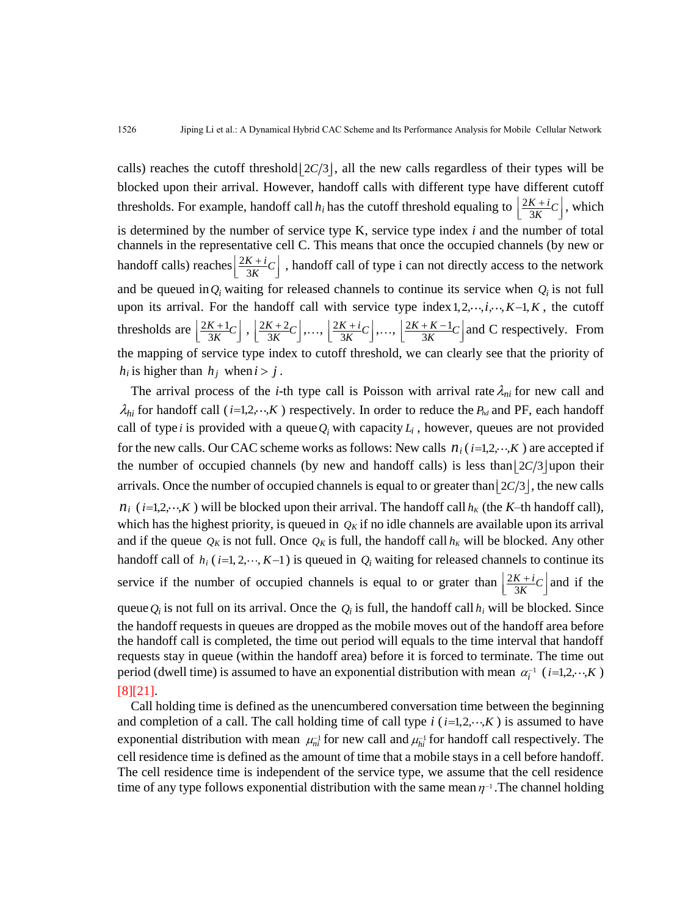calls) reaches the cutoff threshold  $\lfloor 2C/3 \rfloor$ , all the new calls regardless of their types will be blocked upon their arrival. However, handoff calls with different type have different cutoff thresholds. For example, handoff call  $h_i$  has the cutoff threshold equaling to  $\frac{2}{3}$  $\frac{K+i}{3K}C$  $\left| \frac{2K+i}{C} \right|$  $\left[\frac{2K+i}{3K}C\right]$ , which is determined by the number of service type K, service type index *i* and the number of total channels in the representative cell C. This means that once the occupied channels (by new or handoff calls) reaches  $\frac{2}{3}$  $\frac{K+i}{3K}C$  $\left| \frac{2K+i}{C} \right|$  $\left[\frac{2K+i}{3K}C\right]$ , handoff call of type i can not directly access to the network and be queued in  $Q_i$  waiting for released channels to continue its service when  $Q_i$  is not full upon its arrival. For the handoff call with service type index  $1, 2, \dots, i, \dots, K-1, K$ , the cutoff thresholds are  $\frac{2K+1}{2K}$  $\frac{K+1}{3K}C$  $\left| \frac{2K+1}{C} \right|$  $\left\lfloor \frac{2K+1}{3K}C\right\rfloor$ ,  $\left\lfloor \frac{2K+2}{3K} \right\rfloor$  $\frac{K+2}{3K}C$  $\left| \frac{2K+2}{C} \right|$  $\left\lfloor \frac{2K+2}{3K}C\right\rfloor,\ldots,\left\lfloor \frac{2K}{2}\right\rfloor$  $\frac{K+i}{3K}C$  $\left| \frac{2K+i}{C} \right|$  $\left[\frac{2K+i}{3K}C\right], \ldots, \left[\frac{2K+K-1}{3K}\right]$  $\frac{K+K-1}{3K}C$  $\left| \frac{2K + K - 1}{r} \right|$  $\left[\frac{2K + K - 1}{3K}C\right]$  and C respectively. From the mapping of service type index to cutoff threshold, we can clearly see that the priority of  $h_i$  is higher than  $h_j$  when  $i > j$ .

The arrival process of the *i*-th type call is Poisson with arrival rate  $\lambda_{ni}$  for new call and  $\lambda_{hi}$  for handoff call (*i*=1,2,  $\cdot \cdot$ ,*K*) respectively. In order to reduce the  $P_{hd}$  and PF, each handoff call of type *i* is provided with a queue  $Q_i$  with capacity  $L_i$ , however, queues are not provided for the new calls. Our CAC scheme works as follows: New calls  $n_i$  ( $i=1,2,\dots,K$ ) are accepted if the number of occupied channels (by new and handoff calls) is less than  $\lfloor 2C/3 \rfloor$  upon their arrivals. Once the number of occupied channels is equal to or greater than  $\lfloor 2C/3 \rfloor$ , the new calls  $n_i$  (*i*=1,2, ...,*K*) will be blocked upon their arrival. The handoff call  $h_K$  (the *K*–th handoff call), which has the highest priority, is queued in  $Q_K$  if no idle channels are available upon its arrival and if the queue  $Q_K$  is not full. Once  $Q_K$  is full, the handoff call  $h_K$  will be blocked. Any other handoff call of  $h_i$  ( $i=1, 2, \dots, K-1$ ) is queued in  $Q_i$  waiting for released channels to continue its service if the number of occupied channels is equal to or grater than  $\frac{2}{3}$  $\frac{K+i}{3K}C$  $\left| \frac{2K+i}{C} \right|$  $\left[\frac{2K+i}{3K}C\right]$  and if the queue  $Q_i$  is not full on its arrival. Once the  $Q_i$  is full, the handoff call  $h_i$  will be blocked. Since the handoff requests in queues are dropped as the mobile moves out of the handoff area before the handoff call is completed, the time out period will equals to the time interval that handoff requests stay in queue (within the handoff area) before it is forced to terminate. The time out period (dwell time) is assumed to have an exponential distribution with mean  $\alpha_i^{-1}$  (*i*=1,2, ··,*K*) [8][21].

Call holding time is defined as the unencumbered conversation time between the beginning and completion of a call. The call holding time of call type  $i$  ( $i=1,2,\dots,K$ ) is assumed to have exponential distribution with mean  $\mu_{ni}^{-1}$  for new call and  $\mu_{hi}^{-1}$  for handoff call respectively. The cell residence time is defined as the amount of time that a mobile stays in a cell before handoff. The cell residence time is independent of the service type, we assume that the cell residence time of any type follows exponential distribution with the same mean  $\eta$ <sup>-1</sup>. The channel holding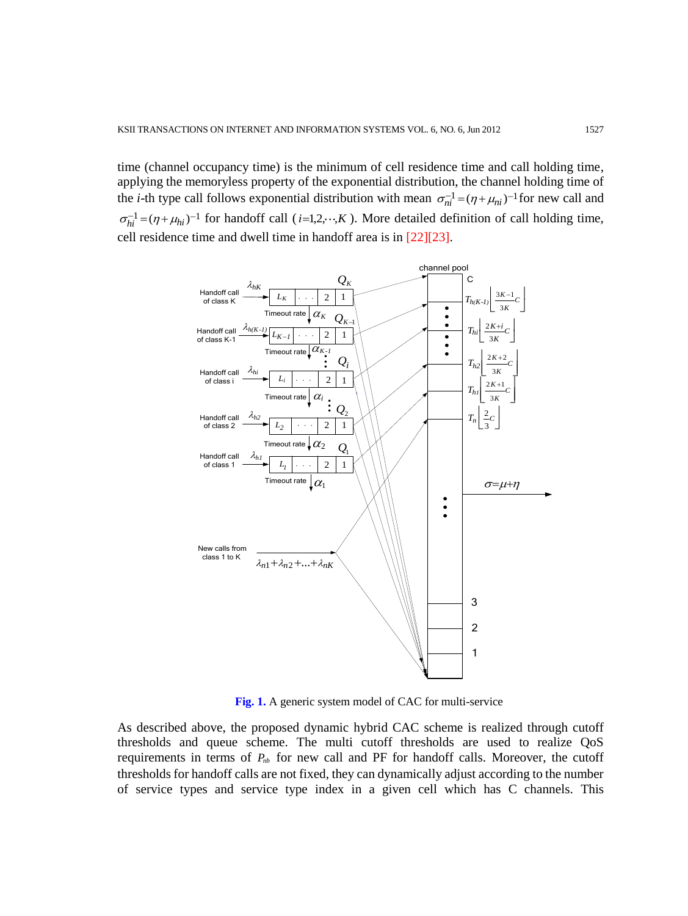time (channel occupancy time) is the minimum of cell residence time and call holding time, applying the memoryless property of the exponential distribution, the channel holding time of the *i*-th type call follows exponential distribution with mean  $\sigma_{ni}^{-1} = (\eta + \mu_{ni})^{-1}$  for new call and  $\sigma_{hi}^{-1} = (\eta + \mu_{hi})^{-1}$  for handoff call (*i*=1,2, ··,*K*). More detailed definition of call holding time, cell residence time and dwell time in handoff area is in [22][23].



**Fig. 1.** A generic system model of CAC for multi-service

As described above, the proposed dynamic hybrid CAC scheme is realized through cutoff thresholds and queue scheme. The multi cutoff thresholds are used to realize QoS requirements in terms of  $P_{nb}$  for new call and PF for handoff calls. Moreover, the cutoff thresholds for handoff calls are not fixed, they can dynamically adjust according to the number of service types and service type index in a given cell which has C channels. This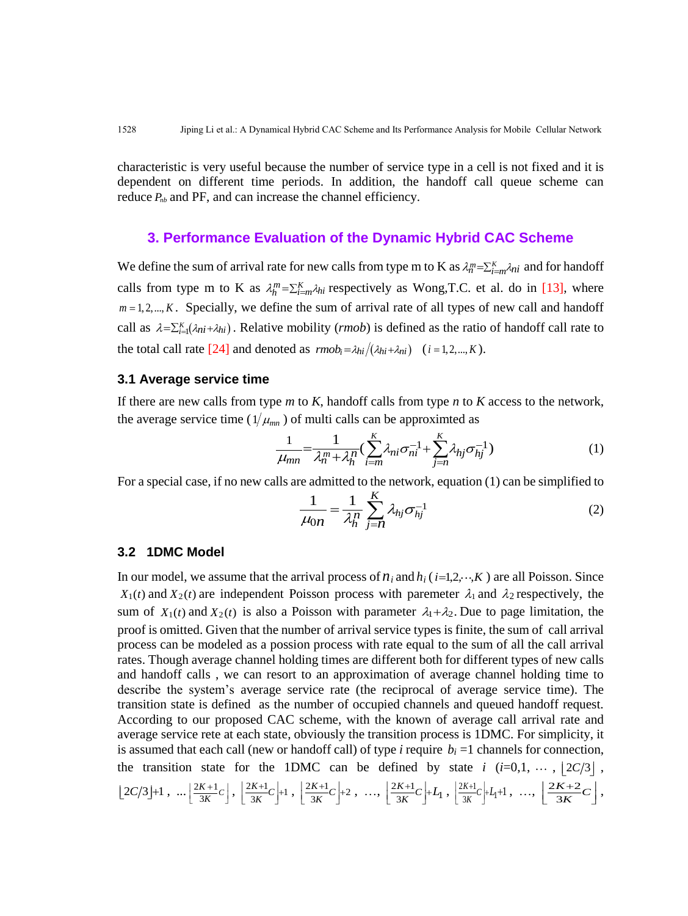characteristic is very useful because the number of service type in a cell is not fixed and it is dependent on different time periods. In addition, the handoff call queue scheme can reduce  $P_{nb}$  and PF, and can increase the channel efficiency.

### **3. Performance Evaluation of the Dynamic Hybrid CAC Scheme**

We define the sum of arrival rate for new calls from type m to K as  $\lambda_n^m = \sum_{i=m}^K \lambda_{ni}$  and for handoff calls from type m to K as  $\lambda_h^m = \sum_{i=m}^K \lambda_{hi}$  respectively as Wong, T.C. et al. do in [13], where  $m = 1, 2, \dots, K$ . Specially, we define the sum of arrival rate of all types of new call and handoff call as  $\lambda = \sum_{i=1}^{K} (\lambda_{ni} + \lambda_{hi})$ . Relative mobility (*rmob*) is defined as the ratio of handoff call rate to the total call rate [24] and denoted as  $\text{rm}b_i = \lambda_{hi}/(\lambda_{hi} + \lambda_{ni})$  (*i* = 1,2,..., *K*).

#### **3.1 Average service time**

If there are new calls from type *m* to *K*, handoff calls from type *n* to *K* access to the network, the average service time ( $1/\mu_{mn}$ ) of multi calls can be approximted as

$$
_{m}^{m}
$$
) of multi calls can be approximated as\n
$$
\frac{1}{\mu_{mn}} = \frac{1}{\lambda_{n}^{m} + \lambda_{h}^{n}} \left( \sum_{i=m}^{K} \lambda_{ni} \sigma_{ni}^{-1} + \sum_{j=n}^{K} \lambda_{hj} \sigma_{hj}^{-1} \right)
$$
\n
$$
(1)
$$

For a special case, if no new calls are admitted to the network, equation (1) can be simplified to

$$
\frac{1}{\mu_{0n}} = \frac{1}{\lambda_h^n} \sum_{j=n}^K \lambda_{hj} \sigma_{hj}^{-1}
$$
 (2)

#### **3.2 1DMC Model**

In our model, we assume that the arrival process of  $n_i$  and  $h_i$  ( $i=1,2,\dots,K$ ) are all Poisson. Since  $X_1(t)$  and  $X_2(t)$  are independent Poisson process with paremeter  $\lambda_1$  and  $\lambda_2$  respectively, the sum of  $X_1(t)$  and  $X_2(t)$  is also a Poisson with parameter  $\lambda_1 + \lambda_2$ . Due to page limitation, the proof is omitted. Given that the number of arrival service types is finite, the sum of call arrival process can be modeled as a possion process with rate equal to the sum of all the call arrival rates. Though average channel holding times are different both for different types of new calls and handoff calls , we can resort to an approximation of average channel holding time to describe the system's average service rate (the reciprocal of average service time). The transition state is defined as the number of occupied channels and queued handoff request. According to our proposed CAC scheme, with the known of average call arrival rate and average service rete at each state, obviously the transition process is 1DMC. For simplicity, it is assumed that each call (new or handoff call) of type  $i$  require  $b_i = 1$  channels for connection, the transition state for the 1DMC can be defined by state  $i$  ( $i=0,1, \cdots, 2C/3$ ),  $\left\lfloor 2C/3 \right\rfloor + 1, \ldots \left\lfloor \frac{2K+1}{3K} \right\rfloor$  $\frac{K+1}{3K}C$  $\left\lfloor \frac{2K+1}{3K}C \right\rfloor$ ,  $\left\lfloor \frac{2K+1}{3K}C \right\rfloor + 1$  $\frac{K+1}{3K}C$  $\left\lfloor \frac{2K+1}{3K}C \right\rfloor + 1$ ,  $\left\lfloor \frac{2K+1}{3K}C \right\rfloor + 2$  $\frac{K+1}{3K}C$  $\left[\frac{2K+1}{3K}C\right]+2$ , ...,  $\left[\frac{2K+1}{3K}C\right]+L_1$  $\left[\frac{2K+1}{3K}C\right]+L_1$ ,  $\left[\frac{2K+1}{3K}C\right]+L_1+1$ , ...,  $\left[\frac{2K+2}{3K}\right]$ 3  $\frac{K+2}{3K}C$  $|2K+2C|$  $\left[\frac{2K+2}{3K}C\right],$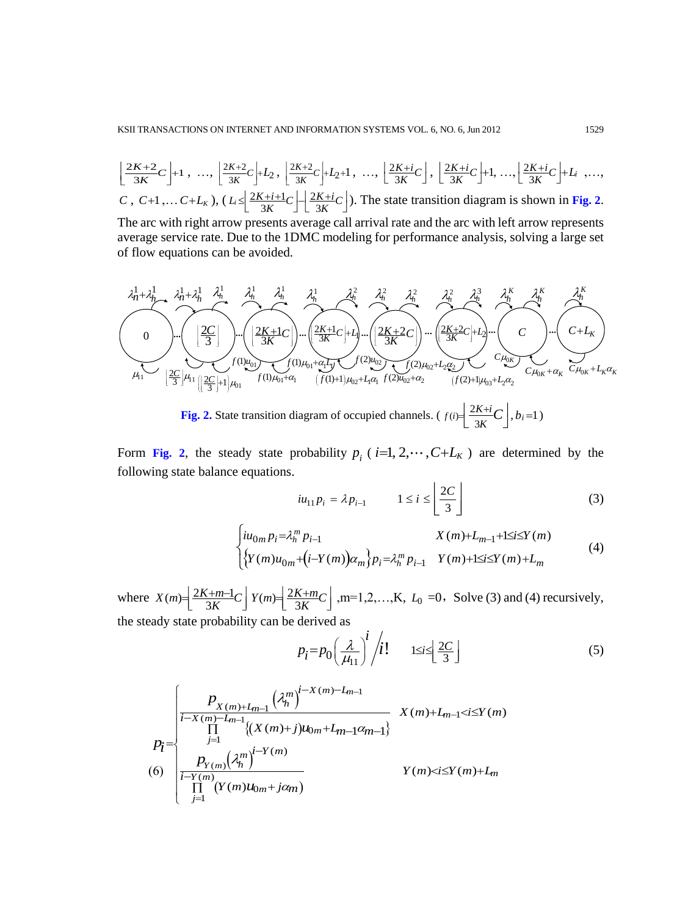$$
\left[ \frac{2K+2}{3K} C \right] + 1, \dots, \left[ \frac{2K+2}{3K} C \right] + L_2, \left[ \frac{2K+2}{3K} C \right] + L_2 + 1, \dots, \left[ \frac{2K+i}{3K} C \right], \left[ \frac{2K+i}{3K} C \right] + 1, \dots, \left[ \frac{2K+i}{3K} C \right] + L_i, \dots,
$$
  
\n*C*, *C*+1,... *C*+*L<sub>K</sub>*), (*L<sub>i</sub> \leq \left[ \frac{2K+i+1}{3K} C \right] - \left[ \frac{2K+i}{3K} C \right]. The state transition diagram is shown in **Fig. 2**.  
\nThe arc with right arrow presents average call arrival rate and the arc with left arrow represents average service rate. Due to the 1DMC modeling for performance analysis, solving a large set*



Form Fig. 2, the steady state probability  $p_i$  ( $i=1, 2, \dots, C+L_K$ ) are determined by the following state balance equations.

$$
iu_{11}p_i = \lambda p_{i-1} \qquad 1 \le i \le \left\lfloor \frac{2C}{3} \right\rfloor \tag{3}
$$

$$
\begin{aligned}\n&\lim_{i \to 1} P_i \xrightarrow{\cdots} \begin{bmatrix} 3 \end{bmatrix} \\
&\left\{ iu_{0m} p_i = \lambda_n^m p_{i-1} \quad X(m) + L_{m-1} + 1 \le i \le Y(m) \quad (4) \\
&\left\{ Y(m)u_{0m} + (i - Y(m))\alpha_m \right\} p_i = \lambda_n^m p_{i-1} \quad Y(m) + 1 \le i \le Y(m) + L_m\n\end{aligned}\n\right\} \tag{4}
$$

where  $X(m) = \left(\frac{2K+m-1}{3K}C\right)$  $\frac{2K+m-1}{3K}C$   $Y(m) = \frac{2K+m}{3K}C$  $=\left[\frac{2K+m}{3K}C\right],$  m=1,2,...,K,  $L_0$  =0, Solve (3) and (4) recursively, the steady state probability can be derived as

$$
p_i = p_0 \left(\frac{\lambda}{\mu_{11}}\right)^i / i! \qquad \text{1 \le i \le \left\lfloor \frac{2C}{3} \right\rfloor} \tag{5}
$$

$$
p_{i} = p_{0} \left(\frac{\lambda}{\mu_{11}}\right)^{i} / i! \qquad 1 \leq i \leq \left\lfloor \frac{2C}{3} \right\rfloor
$$
\n
$$
p_{i} = p_{0} \left(\frac{\lambda}{\mu_{11}}\right)^{i} / i! \qquad 1 \leq i \leq \left\lfloor \frac{2C}{3} \right\rfloor
$$
\n
$$
p_{i} = \begin{cases}\n P_{X(m)+L_{m-1}} \left(\lambda_{n}^{m}\right)^{i-X(m)-L_{m-1}} & X(m)+L_{m-1} < i \leq Y(m) \\
 \prod_{j=1}^{m-1} \left\{ (X(m)+j)u_{0m} + L_{m-1} \alpha_{m-1} \right\} & Y(m) < i \leq Y(m)+L_{m} \\
 \prod_{j=1}^{m-1} \left( Y(m)u_{0m} + j\alpha_{m} \right) & Y(m) < i \leq Y(m)+L_{m}\n \end{cases}
$$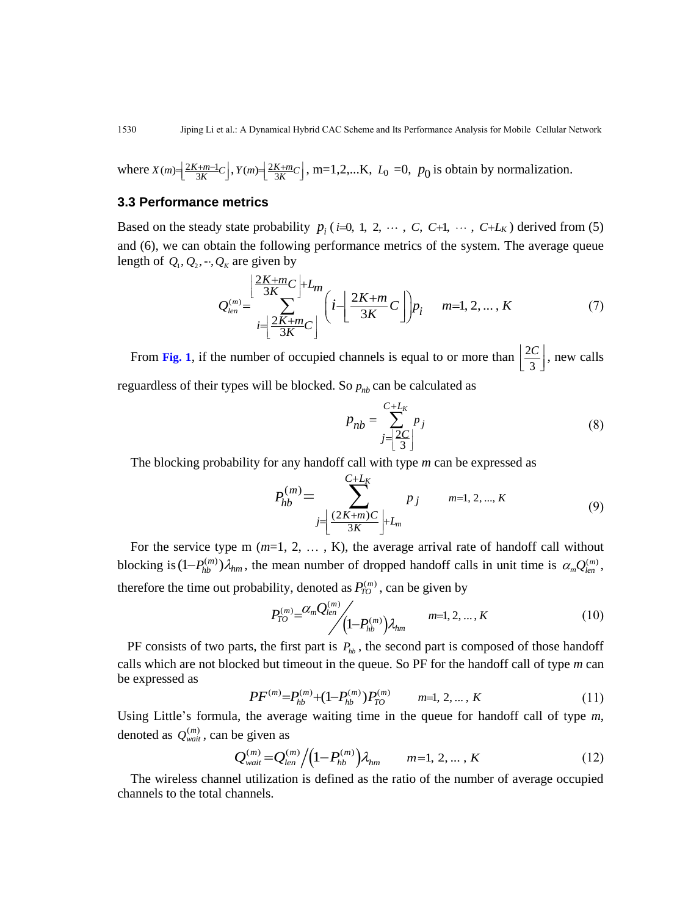where  $X(m) = \frac{2K+m-1}{2K}$  $X(m) = \left[ \frac{2K+m-1}{3K}C \right], Y(m) = \left[ \frac{2K}{K} \right]$  $Y(m) = \left[ \frac{2K+m}{3K} C \right]$ , m=1,2,...K,  $L_0 = 0$ ,  $p_0$  is obtain by normalization.

## **3.3 Performance metrics**

Based on the steady state probability  $p_i$  (*i*=0, 1, 2,  $\cdots$  , C, C+1,  $\cdots$  , C+L<sub>K</sub>) derived from (5) and (6), we can obtain the following performance metrics of the system. The average queue length of  $Q_1, Q_2, ..., Q_K$  are given by

$$
Q_{\kappa} \text{ are given by}
$$
\n
$$
Q_{\ell e n}^{(m)} = \sum_{i=\left[\frac{2K+m}{3K}C\right]}^{\left[\frac{2K+m}{3K}C\right]} \left(i-\left[\frac{2K+m}{3K}C\right]\right) p_i \quad m=1, 2, ..., K
$$
\n(7)

From Fig. 1, if the number of occupied channels is equal to or more than  $\frac{2}{3}$ 3  $|2C|$  $\left[\frac{2C}{3}\right]$ , new calls reguardless of their types will be blocked. So  $p_{nb}$  can be calculated as

$$
p_{nb} = \sum_{j=\left\lfloor \frac{2C}{3} \right\rfloor}^{C+L_K} p_j \tag{8}
$$

The blocking probability for any handoff call with type *m* can be expressed as  $C + L_K$ 

$$
P_{hb}^{(m)} = \sum_{j=\left\lfloor \frac{(2K+m)C}{3K} \right\rfloor + L_m}^{C+L_K} p_j \qquad m=1, 2, ..., K \qquad (9)
$$

For the service type m (*m*=1, 2, … , K), the average arrival rate of handoff call without blocking is  $(1-P_{hb}^{(m)})\lambda_{hm}$ , the mean number of dropped handoff calls in unit time is  $\alpha_m Q_{len}^{(m)}$ , therefore the time out probability, denoted as  $P_{TQ}^{(m)}$ , can be given by

$$
P_{TO}^{(m)} = \frac{\alpha_m Q_{len}^{(m)}}{\left(1 - P_{hb}^{(m)}\right)\lambda_{hm}} \qquad m=1,2,...,K \qquad (10)
$$

PF consists of two parts, the first part is  $P_{hb}$ , the second part is composed of those handoff calls which are not blocked but timeout in the queue. So PF for the handoff call of type *m* can be expressed as

$$
PF^{(m)} = P_{hb}^{(m)} + (1 - P_{hb}^{(m)})P_{TO}^{(m)} \qquad m=1, 2, ..., K
$$
 (11)

Using Little's formula, the average waiting time in the queue for handoff call of type *m*, denoted as  $Q_{wait}^{(m)}$ , can be given as

be given as  
\n
$$
Q_{\text{wait}}^{(m)} = Q_{\text{len}}^{(m)} / (1 - P_{\text{hb}}^{(m)}) \lambda_{\text{hm}}
$$
  $m = 1, 2, ..., K$  (12)

The wireless channel utilization is defined as the ratio of the number of average occupied channels to the total channels.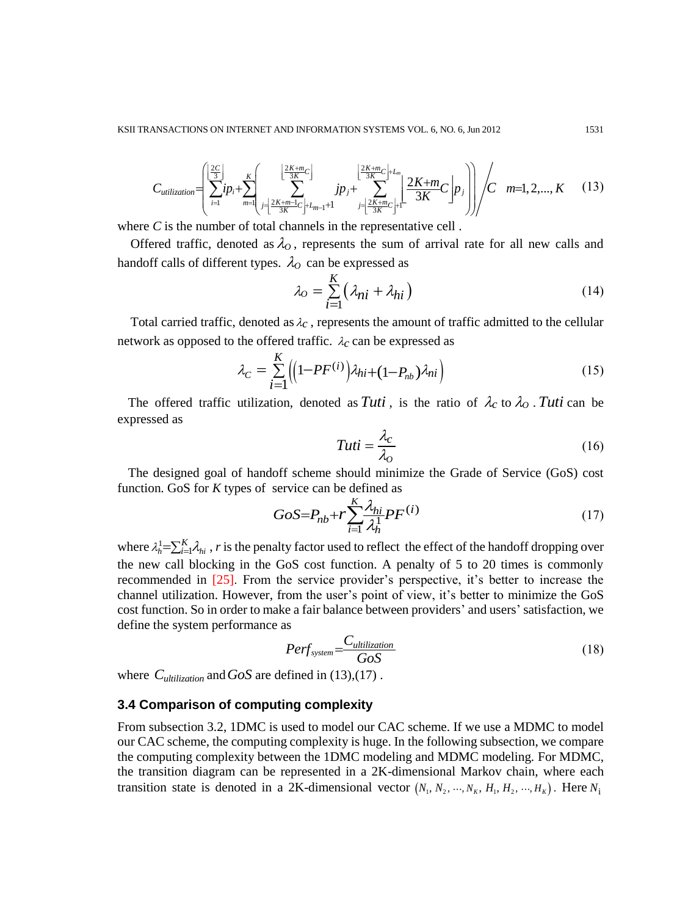KSII TRANSACTIONS ON INTERNET AND INFORMATION SYSTEMS VOL. 6, NO. 6, Jun 2012  
\n
$$
C_{utilization} = \left( \sum_{i=1}^{\lfloor \frac{2C}{3} \rfloor} ip_i + \sum_{m=1}^{K} \left( \sum_{j=\lfloor \frac{2K+m}{3K} \rfloor}^{\lfloor \frac{2K+m}{3K} \rfloor} ip_j + \sum_{j=\lfloor \frac{2K+m}{3K} \rfloor+1}^{\lfloor \frac{2K+m}{3K} \rfloor+L_m} 2 \frac{2K+m}{3K} C \right] p_j \right) / C \quad m=1, 2, ..., K \quad (13)
$$
\nwhere C is the number of total channels in the representative cell

where *C* is the number of total channels in the representative cell.

Offered traffic, denoted as  $\lambda_0$ , represents the sum of arrival rate for all new calls and handoff calls of different types.  $\lambda_o$  can be expressed as

$$
\lambda_O = \sum_{i=1}^{K} \left( \lambda_{ni} + \lambda_{hi} \right) \tag{14}
$$

Total carried traffic, denoted as  $\lambda_c$ , represents the amount of traffic admitted to the cellular

network as opposed to the offered traffic. 
$$
\lambda_c
$$
 can be expressed as  
\n
$$
\lambda_C = \sum_{i=1}^{K} \left( \left( 1 - PF^{(i)} \right) \lambda_{hi} + \left( 1 - P_{nb} \right) \lambda_{ni} \right)
$$
\n(15)

The offered traffic utilization, denoted as Tuti, is the ratio of  $\lambda_c$  to  $\lambda_o$ . Tuti can be expressed as

$$
Tuti = \frac{\lambda_c}{\lambda_o} \tag{16}
$$

The designed goal of handoff scheme should minimize the Grade of Service (GoS) cost function. GoS for *K* types of service can be defined as

$$
GoS = P_{nb} + r \sum_{i=1}^{K} \frac{\lambda_{hi}}{\lambda_h^1} PF^{(i)}
$$
\n<sup>(17)</sup>

where  $\lambda_h^1 = \sum_{i=1}^K \lambda_{hi}$ , *r* is the penalty factor used to reflect the effect of the handoff dropping over the new call blocking in the GoS cost function. A penalty of 5 to 20 times is commonly recommended in [25]. From the service provider's perspective, it's better to increase the channel utilization. However, from the user's point of view, it's better to minimize the GoS cost function. So in order to make a fair balance between providers' and users' satisfaction, we define the system performance as

$$
Perf_{system} = \frac{C_{utilization}}{GoS} \tag{18}
$$

where  $C_{\text{utilization}}$  and  $GoS$  are defined in (13),(17).

## **3.4 Comparison of computing complexity**

From subsection 3.2, 1DMC is used to model our CAC scheme. If we use a MDMC to model our CAC scheme, the computing complexity is huge. In the following subsection, we compare the computing complexity between the 1DMC modeling and MDMC modeling. For MDMC, the transition diagram can be represented in a 2K-dimensional Markov chain, where each transition state is denoted in a 2K-dimensional vector  $(N_1, N_2, ..., N_K, H_1, H_2, ..., H_K)$ . Here  $N_i$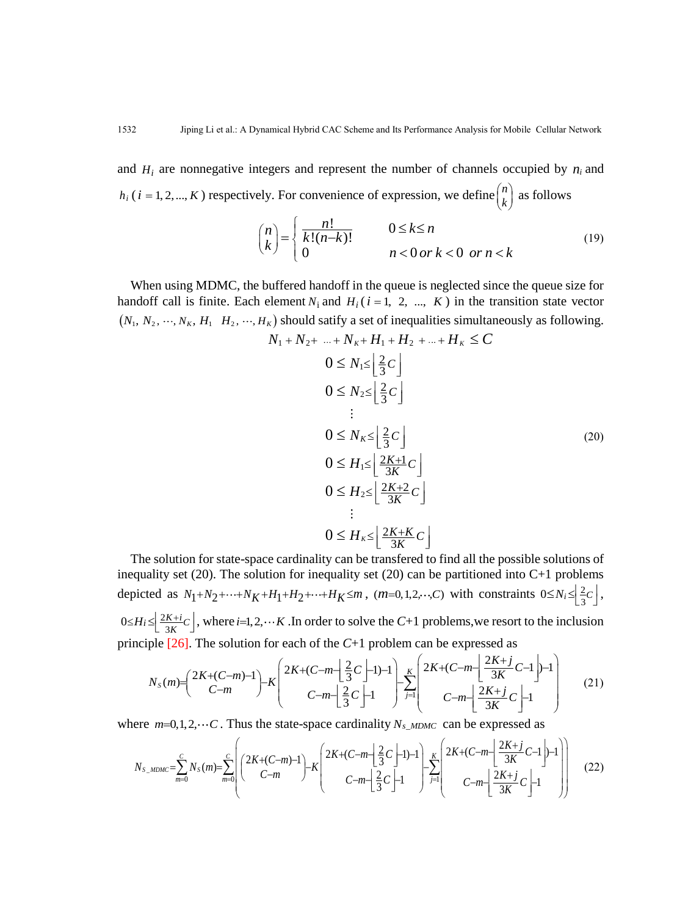and  $H_i$  are nonnegative integers and represent the number of channels occupied by  $n_i$  and  $h_i$  (*i* = 1, 2, ..., *K*) respectively. For convenience of expression, we define  $\binom{n}{k}$  $\binom{n}{k}$  as follows

$$
\binom{n}{k} = \begin{cases}\n\frac{n!}{k!(n-k)!} & 0 \le k \le n \\
0 & n < 0 \text{ or } k < 0 \text{ or } n < k\n\end{cases}
$$
\n(19)

When using MDMC, the buffered handoff in the queue is neglected since the queue size for handoff call is finite. Each element  $N_i$  and  $H_i$  ( $i = 1, 2, ..., K$ ) in the transition state vector  $(N_1, N_2, \dots, N_K, H_1 \mid H_2, \dots, H_K)$  should satify a set of inequalities simultaneously as following. *k*) should satify a set of inequalities simulta<br> $N_1 + N_2 + ... + N_K + H_1 + H_2 + ... + H_K \leq C$ 

$$
V_1 + N_2 + \dots + N_K + H_1 + H_2 + \dots + H_K \leq C
$$
  
\n
$$
0 \leq N_1 \leq \left\lfloor \frac{2}{3}C \right\rfloor
$$
  
\n
$$
0 \leq N_2 \leq \left\lfloor \frac{2}{3}C \right\rfloor
$$
  
\n
$$
0 \leq N_K \leq \left\lfloor \frac{2}{3}C \right\rfloor
$$
  
\n
$$
0 \leq H_1 \leq \left\lfloor \frac{2K+1}{3K}C \right\rfloor
$$
  
\n
$$
0 \leq H_2 \leq \left\lfloor \frac{2K+2}{3K}C \right\rfloor
$$
  
\n
$$
\vdots
$$
  
\n
$$
0 \leq H_K \leq \left\lfloor \frac{2K+K}{3K}C \right\rfloor
$$
  
\n(20)

The solution for state-space cardinality can be transfered to find all the possible solutions of inequality set (20). The solution for inequality set (20) can be partitioned into C+1 problems depicted as  $N_1 + N_2 + \cdots + N_K + H_1 + H_2 + \cdots + H_K \le m$ ,  $(m=0,1,2,\dots,C)$  with constraints  $0 \le N_i \le \left[\frac{2}{3}\right]$  $0 \leq N_i \leq \left\lfloor \frac{2}{3}c \right\rfloor$ , 2 principle [26]. The solution for each of the *C*+1 problem can be expressed as

$$
0 \le H_i \le \left[\frac{2K+i}{3K}C\right], \text{ where } i=1,2,\dots K \text{ .In order to solve the } C+1 \text{ problems, we resort to the inclusion}
$$
\n
$$
\text{principle } [26]. \text{ The solution for each of the } C+1 \text{ problem can be expressed as}
$$
\n
$$
N_S(m) = \left(\frac{2K+(C-m)}{C-m}\right) - K \left(\frac{2K+(C-m)}{C-m} - \left[\frac{2}{3}C\right] - 1\right) - K \left(\frac{2K+(C-m)}{C-m} - \left[\frac{2K+j}{3K}C - 1\right] - 1\right) \left(\frac{2K+j}{C-m} - \left[\frac{2K+j}{3K}C\right] - 1\right) \tag{21}
$$

where  $m=0,1,2,\dots$  C. Thus the state-space cardinality  $N_{s\_MDMC}$  can be expressed as

here 
$$
m=0,1,2,\dots C
$$
. Thus the state-space cardinality  $N_{s\_MDMC}$  can be expressed as  
\n
$$
N_{s\_MDMC} = \sum_{m=0}^{C} N_s(m) = \sum_{m=0}^{C} \left( \frac{2K + (C-m) - 1}{C-m} \right) - K \left( \frac{2K + (C-m) - 1}{C-m} \right) - K \left( \frac{2K + (C-m) - 1}{C-m} \right) - K \left( \frac{2K + (C-m) - 1}{C-m} \right) - K \left( \frac{2K + (C-m) - 1}{C-m} \right) - K \left( \frac{2K + (C-m) - 1}{C-m} \right) - K \left( \frac{2K + (C-m) - 1}{C-m} \right) - K \left( \frac{2K + (C-m) - 1}{C-m} \right) - K \left( \frac{2K + (C-m) - 1}{C-m} \right) - K \left( \frac{2K + (C-m) - 1}{C-m} \right) - K \left( \frac{2K + (C-m) - 1}{C-m} \right) - K \left( \frac{2K + (C-m) - 1}{C-m} \right) - K \left( \frac{2K + (C-m) - 1}{C-m} \right) - K \left( \frac{2K + (C-m) - 1}{C-m} \right) - K \left( \frac{2K + (C-m) - 1}{C-m} \right) - K \left( \frac{2K + (C-m) - 1}{C-m} \right) - K \left( \frac{2K + (C-m) - 1}{C-m} \right) - K \left( \frac{2K + (C-m) - 1}{C-m} \right) - K \left( \frac{2K + (C-m) - 1}{C-m} \right) - K \left( \frac{2K + (C-m) - 1}{C-m} \right) - K \left( \frac{2K + (C-m) - 1}{C-m} \right) - K \left( \frac{2K + (C-m) - 1}{C-m} \right) - K \left( \frac{2K + (C-m) - 1}{C-m} \right) - K \left( \frac{2K + (C-m) - 1}{C-m} \right) \left( \frac{2K + (C-m) - 1}{C-m} \right) \tag{22}
$$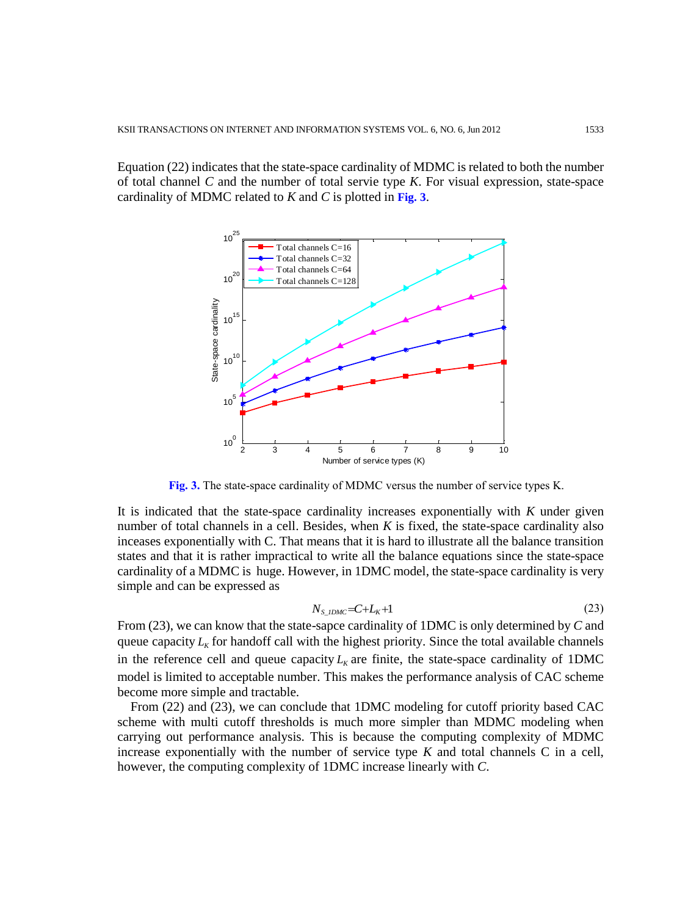Equation (22) indicates that the state-space cardinality of MDMC is related to both the number of total channel *C* and the number of total servie type *K*. For visual expression, state-space cardinality of MDMC related to *K* and *C* is plotted in **Fig. 3**.



**Fig. 3.** The state-space cardinality of MDMC versus the number of service types K.

It is indicated that the state-space cardinality increases exponentially with *K* under given number of total channels in a cell. Besides, when *K* is fixed, the state-space cardinality also inceases exponentially with C. That means that it is hard to illustrate all the balance transition states and that it is rather impractical to write all the balance equations since the state-space cardinality of a MDMC is huge. However, in 1DMC model, the state-space cardinality is very simple and can be expressed as

$$
N_{S\_IDMC} = C + L_K + 1 \tag{23}
$$

From (23), we can know that the state-sapce cardinality of 1DMC is only determined by *C* and queue capacity  $L_K$  for handoff call with the highest priority. Since the total available channels in the reference cell and queue capacity  $L<sub>K</sub>$  are finite, the state-space cardinality of 1DMC model is limited to acceptable number. This makes the performance analysis of CAC scheme become more simple and tractable.

From (22) and (23), we can conclude that 1DMC modeling for cutoff priority based CAC scheme with multi cutoff thresholds is much more simpler than MDMC modeling when carrying out performance analysis. This is because the computing complexity of MDMC increase exponentially with the number of service type  $K$  and total channels  $C$  in a cell, however, the computing complexity of 1DMC increase linearly with *C*.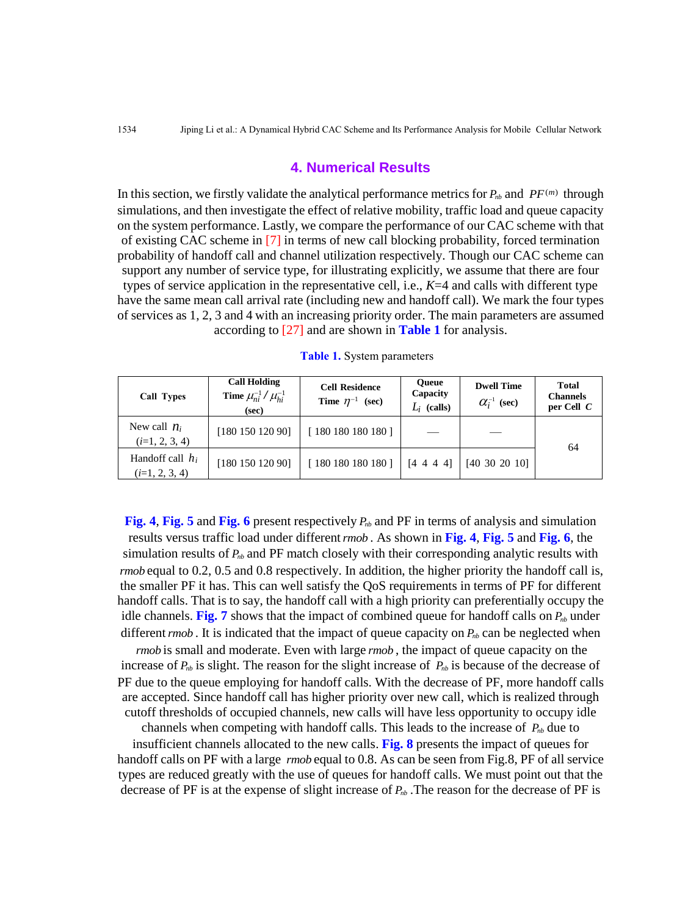#### **4. Numerical Results**

In this section, we firstly validate the analytical performance metrics for  $P_{nb}$  and  $PF^{(m)}$  through simulations, and then investigate the effect of relative mobility, traffic load and queue capacity on the system performance. Lastly, we compare the performance of our CAC scheme with that of existing CAC scheme in [7] in terms of new call blocking probability, forced termination probability of handoff call and channel utilization respectively. Though our CAC scheme can support any number of service type, for illustrating explicitly, we assume that there are four types of service application in the representative cell, i.e., *K*=4 and calls with different type have the same mean call arrival rate (including new and handoff call). We mark the four types of services as 1, 2, 3 and 4 with an increasing priority order. The main parameters are assumed according to [27] and are shown in **Table 1** for analysis.

| Call Types                             | <b>Call Holding</b><br><b>Time</b> $\mu_{ni}^{-1} / \mu_{hi}^{-1}$<br>(sec) | <b>Cell Residence</b><br>Time $\eta^{-1}$ (sec) | <b>Oueue</b><br>Capacity<br>$L_i$ (calls) | <b>Dwell Time</b><br>$\alpha_i^{-1}$ (sec) | <b>Total</b><br><b>Channels</b><br>per Cell $C$ |
|----------------------------------------|-----------------------------------------------------------------------------|-------------------------------------------------|-------------------------------------------|--------------------------------------------|-------------------------------------------------|
| New call $n_i$<br>$(i=1, 2, 3, 4)$     | [180 150 120 90]                                                            | [180180180180]                                  |                                           |                                            | 64                                              |
| Handoff call $h_i$<br>$(i=1, 2, 3, 4)$ | [180 150 120 90]                                                            | [180180180180]                                  | [4 4 4 4]                                 | [40, 30, 20, 10]                           |                                                 |

**Table 1.** System parameters

**Fig.** 4, Fig. 5 and Fig. 6 present respectively  $P_{nb}$  and PF in terms of analysis and simulation results versus traffic load under different *rmob* . As shown in **Fig. 4**, **Fig. 5** and **Fig. 6**, the simulation results of  $P_{nb}$  and PF match closely with their corresponding analytic results with *rmob* equal to 0.2, 0.5 and 0.8 respectively. In addition, the higher priority the handoff call is, the smaller PF it has. This can well satisfy the QoS requirements in terms of PF for different handoff calls. That is to say, the handoff call with a high priority can preferentially occupy the idle channels. Fig. 7 shows that the impact of combined queue for handoff calls on  $P_{nb}$  under different *rmob*. It is indicated that the impact of queue capacity on  $P_{nb}$  can be neglected when

*rmob* is small and moderate. Even with large *rmob*, the impact of queue capacity on the increase of  $P_{nb}$  is slight. The reason for the slight increase of  $P_{nb}$  is because of the decrease of PF due to the queue employing for handoff calls. With the decrease of PF, more handoff calls are accepted. Since handoff call has higher priority over new call, which is realized through cutoff thresholds of occupied channels, new calls will have less opportunity to occupy idle

channels when competing with handoff calls. This leads to the increase of *Pnb* due to

insufficient channels allocated to the new calls. **Fig. 8** presents the impact of queues for handoff calls on PF with a large *rmob* equal to 0.8. As can be seen from Fig.8, PF of all service types are reduced greatly with the use of queues for handoff calls. We must point out that the decrease of PF is at the expense of slight increase of *Pnb* .The reason for the decrease of PF is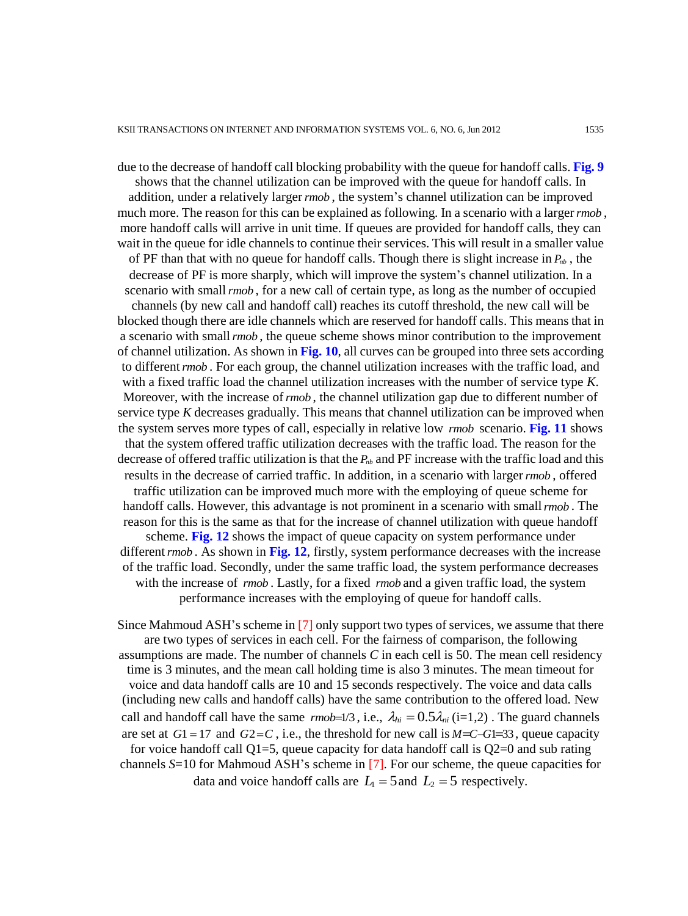due to the decrease of handoff call blocking probability with the queue for handoff calls. **Fig. 9** shows that the channel utilization can be improved with the queue for handoff calls. In addition, under a relatively larger *rmob* , the system's channel utilization can be improved much more. The reason for this can be explained as following. In a scenario with a larger *rmob* , more handoff calls will arrive in unit time. If queues are provided for handoff calls, they can wait in the queue for idle channels to continue their services. This will result in a smaller value of PF than that with no queue for handoff calls. Though there is slight increase in  $P_{nb}$ , the decrease of PF is more sharply, which will improve the system's channel utilization. In a scenario with small *rmob* , for a new call of certain type, as long as the number of occupied channels (by new call and handoff call) reaches its cutoff threshold, the new call will be blocked though there are idle channels which are reserved for handoff calls. This means that in a scenario with small *rmob* , the queue scheme shows minor contribution to the improvement of channel utilization. As shown in **Fig. 10**, all curves can be grouped into three sets according to different *rmob* . For each group, the channel utilization increases with the traffic load, and with a fixed traffic load the channel utilization increases with the number of service type *K*. Moreover, with the increase of *rmob* , the channel utilization gap due to different number of service type *K* decreases gradually. This means that channel utilization can be improved when the system serves more types of call, especially in relative low *rmob* scenario. **Fig. 11** shows that the system offered traffic utilization decreases with the traffic load. The reason for the decrease of offered traffic utilization is that the *Pnb* and PF increase with the traffic load and this results in the decrease of carried traffic. In addition, in a scenario with larger *rmob* , offered traffic utilization can be improved much more with the employing of queue scheme for handoff calls. However, this advantage is not prominent in a scenario with small *rmob* . The reason for this is the same as that for the increase of channel utilization with queue handoff scheme. **Fig. 12** shows the impact of queue capacity on system performance under different *rmob* . As shown in **Fig. 12**, firstly, system performance decreases with the increase of the traffic load. Secondly, under the same traffic load, the system performance decreases with the increase of *rmob*. Lastly, for a fixed *rmob* and a given traffic load, the system performance increases with the employing of queue for handoff calls.

Since Mahmoud ASH's scheme in [7] only support two types of services, we assume that there are two types of services in each cell. For the fairness of comparison, the following assumptions are made. The number of channels *C* in each cell is 50. The mean cell residency time is 3 minutes, and the mean call holding time is also 3 minutes. The mean timeout for voice and data handoff calls are 10 and 15 seconds respectively. The voice and data calls (including new calls and handoff calls) have the same contribution to the offered load. New call and handoff call have the same  $\text{rm} b=1/3$ , i.e.,  $\lambda_{hi} = 0.5 \lambda_{ni}$  (i=1,2). The guard channels are set at  $G1 = 17$  and  $G2 = C$ , i.e., the threshold for new call is  $M = C - G1 = 33$ , queue capacity for voice handoff call  $Q1=5$ , queue capacity for data handoff call is  $Q2=0$  and sub rating channels *S*=10 for Mahmoud ASH's scheme in [7]. For our scheme, the queue capacities for data and voice handoff calls are  $L_1 = 5$  and  $L_2 = 5$  respectively.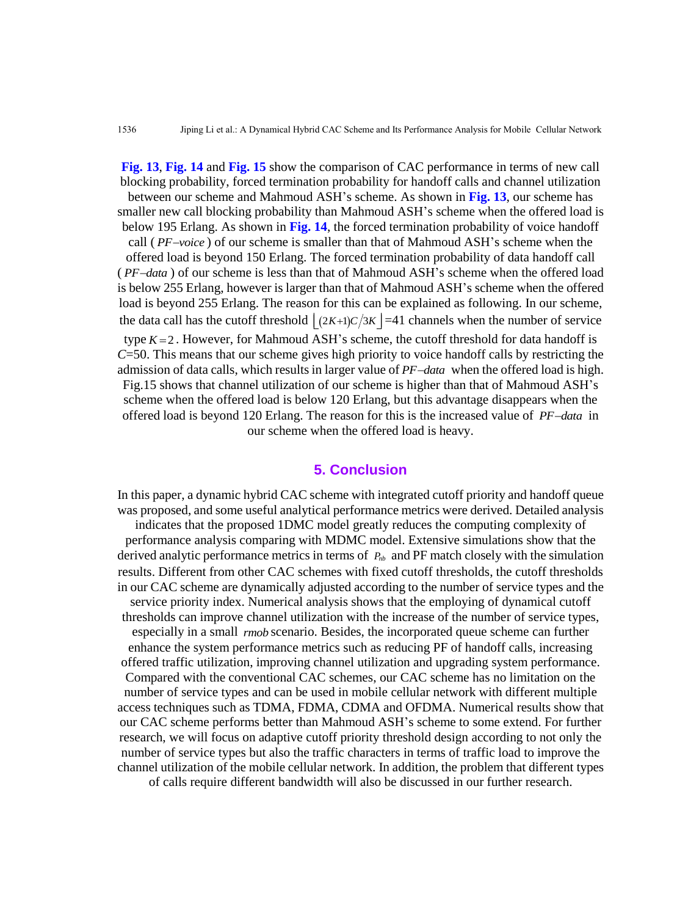**Fig. 13**, **Fig. 14** and **Fig. 15** show the comparison of CAC performance in terms of new call blocking probability, forced termination probability for handoff calls and channel utilization between our scheme and Mahmoud ASH's scheme. As shown in **Fig. 13**, our scheme has smaller new call blocking probability than Mahmoud ASH's scheme when the offered load is below 195 Erlang. As shown in **Fig. 14**, the forced termination probability of voice handoff call (PF-voice) of our scheme is smaller than that of Mahmoud ASH's scheme when the offered load is beyond 150 Erlang. The forced termination probability of data handoff call (PF-data) of our scheme is less than that of Mahmoud ASH's scheme when the offered load is below 255 Erlang, however is larger than that of Mahmoud ASH's scheme when the offered load is beyond 255 Erlang. The reason for this can be explained as following. In our scheme, the data call has the cutoff threshold  $\lfloor (2K+1)C/3K \rfloor = 41$  channels when the number of service type  $K = 2$ . However, for Mahmoud ASH's scheme, the cutoff threshold for data handoff is *C*=50. This means that our scheme gives high priority to voice handoff calls by restricting the admission of data calls, which results in larger value of PF-data when the offered load is high. Fig.15 shows that channel utilization of our scheme is higher than that of Mahmoud ASH's scheme when the offered load is below 120 Erlang, but this advantage disappears when the offered load is beyond 120 Erlang. The reason for this is the increased value of PF-data in our scheme when the offered load is heavy.

## **5. Conclusion**

In this paper, a dynamic hybrid CAC scheme with integrated cutoff priority and handoff queue was proposed, and some useful analytical performance metrics were derived. Detailed analysis indicates that the proposed 1DMC model greatly reduces the computing complexity of performance analysis comparing with MDMC model. Extensive simulations show that the derived analytic performance metrics in terms of  $P_{nb}$  and PF match closely with the simulation results. Different from other CAC schemes with fixed cutoff thresholds, the cutoff thresholds in our CAC scheme are dynamically adjusted according to the number of service types and the service priority index. Numerical analysis shows that the employing of dynamical cutoff thresholds can improve channel utilization with the increase of the number of service types, especially in a small *rmob* scenario. Besides, the incorporated queue scheme can further enhance the system performance metrics such as reducing PF of handoff calls, increasing offered traffic utilization, improving channel utilization and upgrading system performance. Compared with the conventional CAC schemes, our CAC scheme has no limitation on the number of service types and can be used in mobile cellular network with different multiple access techniques such as TDMA, FDMA, CDMA and OFDMA. Numerical results show that our CAC scheme performs better than Mahmoud ASH's scheme to some extend. For further research, we will focus on adaptive cutoff priority threshold design according to not only the number of service types but also the traffic characters in terms of traffic load to improve the channel utilization of the mobile cellular network. In addition, the problem that different types of calls require different bandwidth will also be discussed in our further research.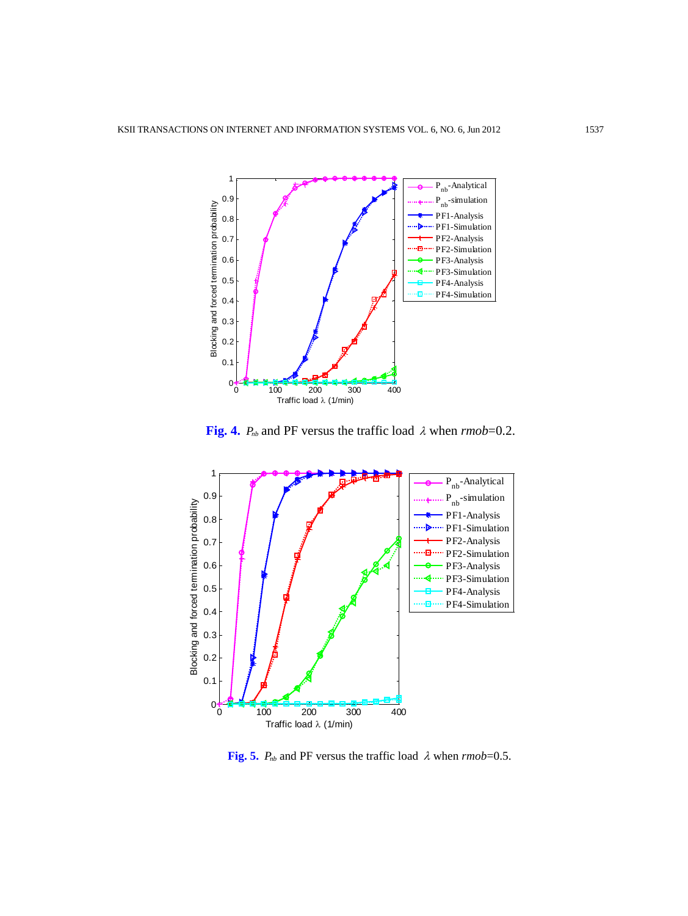

**Fig. 4.**  $P_{nb}$  and PF versus the traffic load  $\lambda$  when  $\text{rm} o b = 0.2$ .



**Fig. 5.**  $P_{nb}$  and PF versus the traffic load  $\lambda$  when  $\text{rm} o\text{b} = 0.5$ .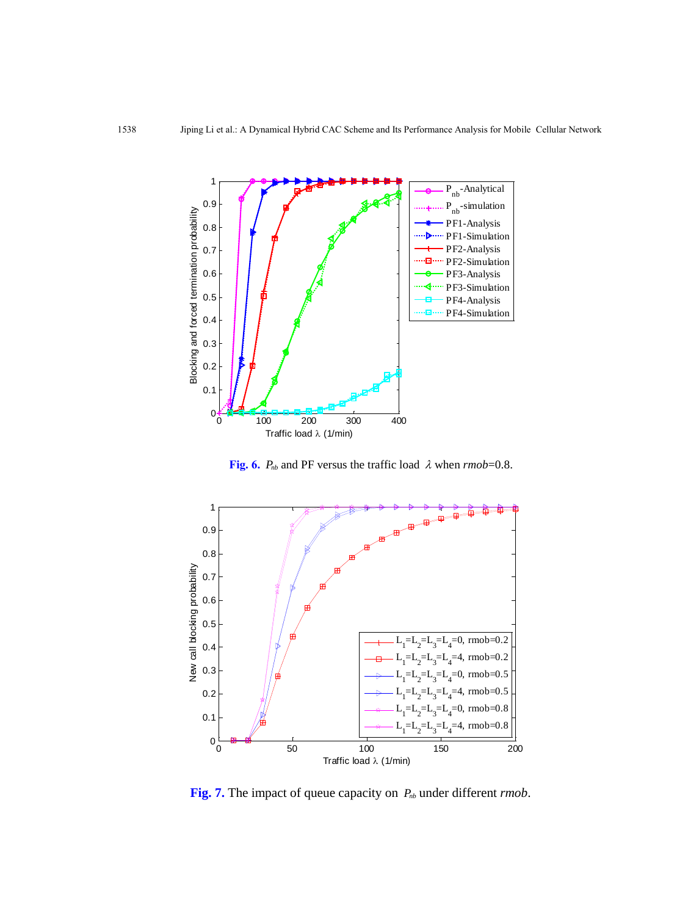

**Fig. 6.**  $P_{nb}$  and PF versus the traffic load  $\lambda$  when  $\text{rm} o\text{b}$ =0.8.



**Fig.** 7. The impact of queue capacity on  $P_{nb}$  under different *rmob*.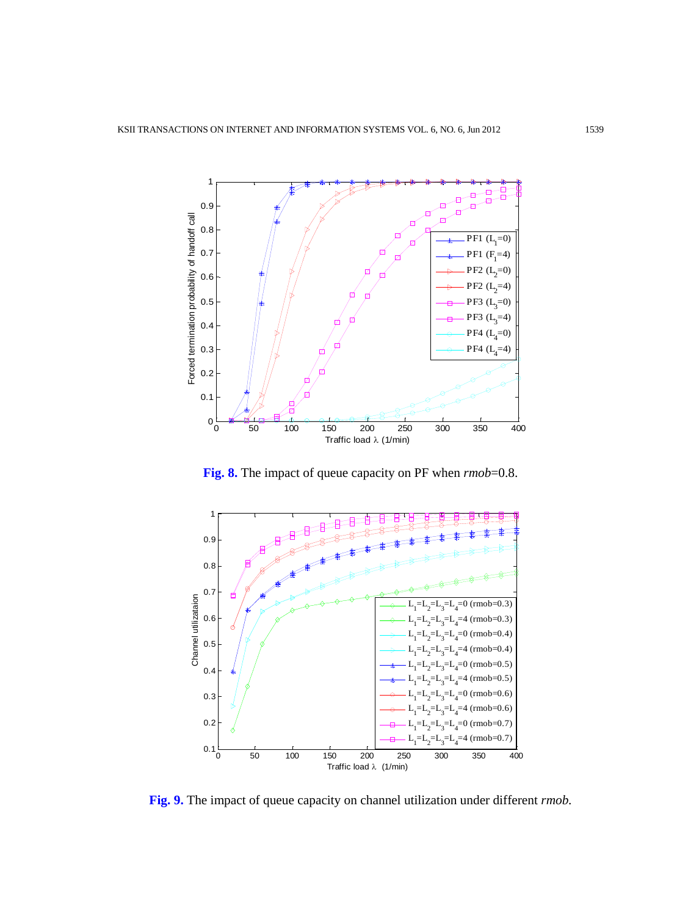

**Fig. 8.** The impact of queue capacity on PF when *rmob*=0.8.



**Fig. 9.** The impact of queue capacity on channel utilization under different *rmob.*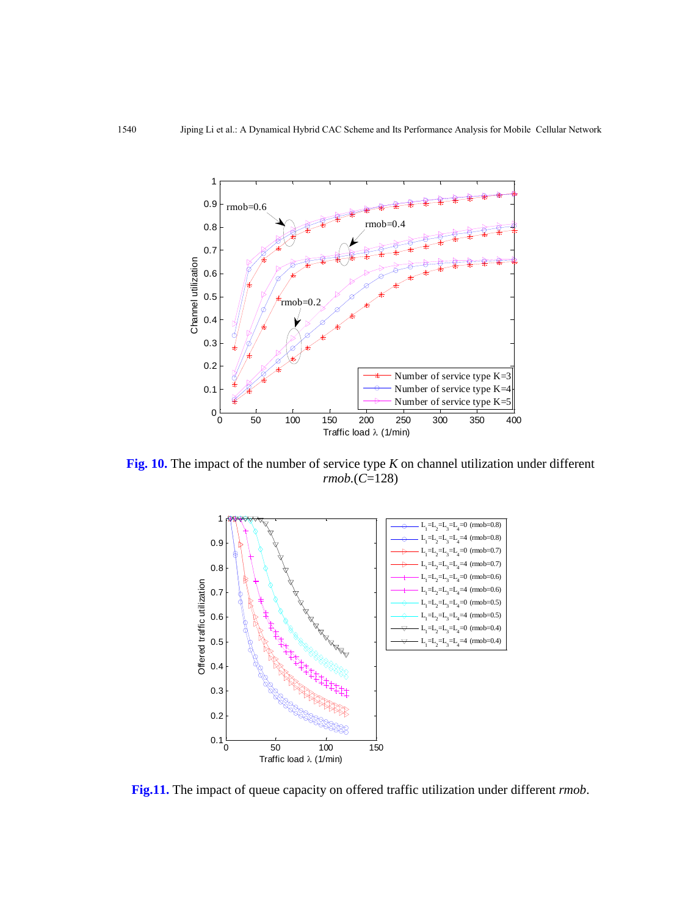

**Fig. 10.** The impact of the number of service type *K* on channel utilization under different *rmob.*(*C*=128)



**Fig.11.** The impact of queue capacity on offered traffic utilization under different *rmob*.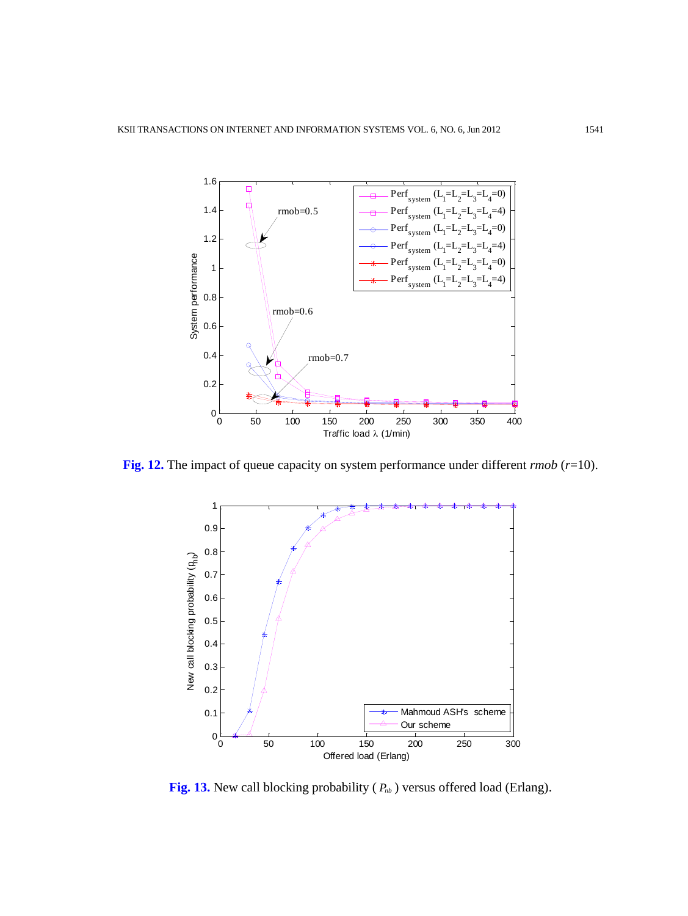

**Fig. 12.** The impact of queue capacity on system performance under different *rmob* (*r*=10).



**Fig. 13.** New call blocking probability ( *Pnb* ) versus offered load (Erlang).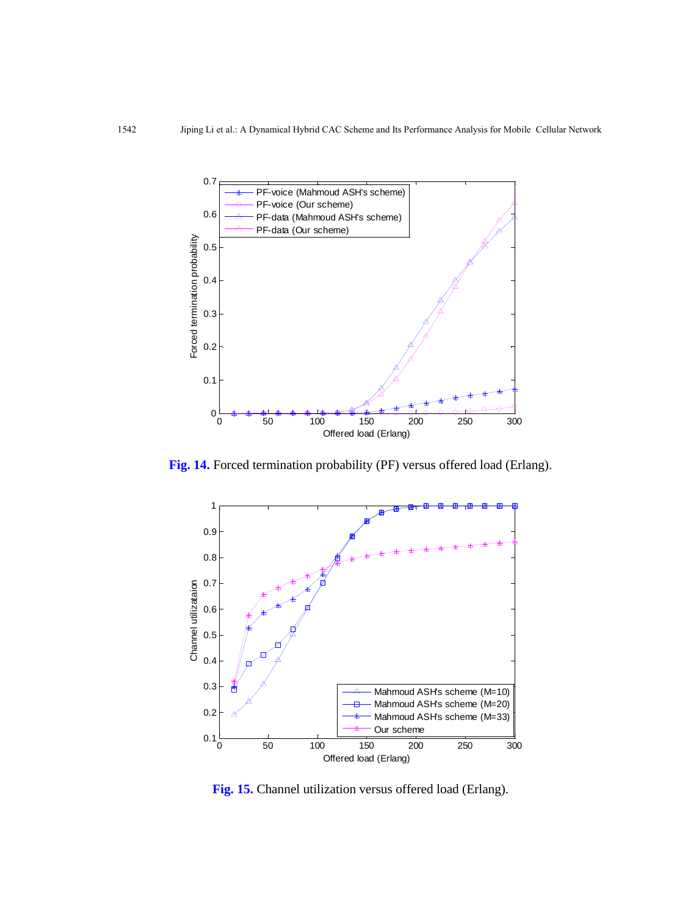

**Fig. 14.** Forced termination probability (PF) versus offered load (Erlang).



**Fig. 15.** Channel utilization versus offered load (Erlang).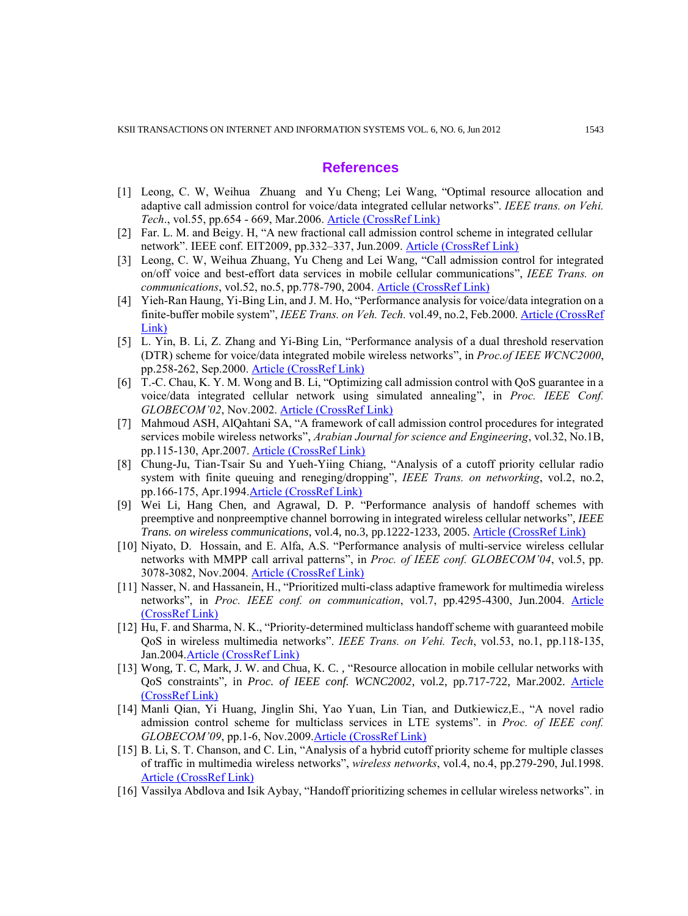#### **References**

- [1] Leong, C. W, Weihua Zhuang and Yu Cheng; Lei Wang, "Optimal resource allocation and adaptive call admission control for voice/data integrated cellular networks". *IEEE trans. on Vehi. Tech*., vol.55, pp.654 - 669, Mar.2006. [Article \(CrossRef Link\)](http://dx.doi.org/DOI:10.1109/TVT.2005.858186)
- [2] Far. L. M. and Beigy. H, "A new fractional call admission control scheme in integrated cellular network". IEEE conf. EIT2009, pp.332–337, Jun.2009. [Article \(CrossRef Link\)](http://dx.doi.org/DOI:10.1109/EIT.2009.5189638)
- [3] Leong, C. W, Weihua Zhuang, Yu Cheng and Lei Wang, "Call admission control for integrated on/off voice and best-effort data services in mobile cellular communications", *IEEE Trans. on communications*, vol.52, no.5, pp.778-790, 2004. [Article \(CrossRef Link\)](http://dx.doi.org/DOI:10.1109/TCOMM.2004.826247)
- [4] Yieh-Ran Haung, Yi-Bing Lin, and J. M. Ho, "Performance analysis for voice/data integration on a finite-buffer mobile system", *IEEE Trans. on Veh. Tech.* vol.49, no.2, Feb.2000. [Article \(CrossRef](http://dx.doi.org/DOI:10.1109/25.832967)  [Link\)](http://dx.doi.org/DOI:10.1109/25.832967)
- [5] L. Yin, B. Li, Z. Zhang and Yi-Bing Lin, "Performance analysis of a dual threshold reservation (DTR) scheme for voice/data integrated mobile wireless networks", in *Proc.of IEEE WCNC2000*, pp.258-262, Sep.2000. [Article \(CrossRef Link\)](http://dx.doi.org/DOI:10.1109/WCNC.2000.904638)
- [6] T.-C. Chau, K. Y. M. Wong and B. Li, "Optimizing call admission control with QoS guarantee in a voice/data integrated cellular network using simulated annealing", in *Proc. IEEE Conf. GLOBECOM'02*, Nov.2002. [Article \(CrossRef Link\)](http://dx.doi.org/DOI:10.1109/GLOCOM.2002.1188190)
- [7] Mahmoud ASH, AlQahtani SA, "A framework of call admission control procedures for integrated services mobile wireless networks", *Arabian Journal for science and Engineering*, vol.32, No.1B, pp.115-130, Apr.2007. [Article \(CrossRef Link\)](http://ajse.kfupm.edu.sa/articles/321B_P.09.pdf)
- [8] Chung-Ju, Tian-Tsair Su and Yueh-Yiing Chiang, "Analysis of a cutoff priority cellular radio system with finite queuing and reneging/dropping", *IEEE Trans. on networking*, vol.2, no.2, pp.166-175, Apr.199[4.Article \(CrossRef Link\)](http://dx.doi.org/DOI:10.1109/90.298434)
- [9] Wei Li, Hang Chen, and Agrawal, D. P. "Performance analysis of handoff schemes with preemptive and nonpreemptive channel borrowing in integrated wireless cellular networks", *IEEE Trans. on wireless communications*, vol.4, no.3, pp.1222-1233, 2005. [Article \(CrossRef Link\)](http://dx.doi.org/DOI:10.1109/TWC.2005.847107)
- [10] Niyato, D. Hossain, and E. Alfa, A.S. "Performance analysis of multi-service wireless cellular networks with MMPP call arrival patterns", in *Proc. of IEEE conf. GLOBECOM'04*, vol.5, pp. 3078-3082, Nov.2004. [Article \(CrossRef Link\)](http://dx.doi.org/DOI:10.1109/GLOCOM.2004.1378918)
- [11] Nasser, N. and Hassanein, H., "Prioritized multi-class adaptive framework for multimedia wireless networks", in *Proc. IEEE conf. on communication*, vol.7, pp.4295-4300, Jun.2004. [Article](http://dx.doi.org/DOI:10.1109/ICC.2004.1313358)  [\(CrossRef Link\)](http://dx.doi.org/DOI:10.1109/ICC.2004.1313358)
- [12] Hu, F. and Sharma, N. K., "Priority-determined multiclass handoff scheme with guaranteed mobile QoS in wireless multimedia networks". *IEEE Trans. on Vehi. Tech*, vol.53, no.1, pp.118-135, Jan.200[4.Article \(CrossRef Link\)](http://dx.doi.org/DOI:10.1109/TVT.2003.819614)
- [13] Wong, T. C, Mark, J. W. and Chua, K. C., "Resource allocation in mobile cellular networks with QoS constraints‖, in *Proc. of IEEE conf. WCNC2002*, vol.2, pp.717-722, Mar.2002. [Article](http://dx.doi.org/DOI:10.1109/WCNC.2002.993356)  [\(CrossRef Link\)](http://dx.doi.org/DOI:10.1109/WCNC.2002.993356)
- [14] Manli Qian, Yi Huang, Jinglin Shi, Yao Yuan, Lin Tian, and Dutkiewicz,E., "A novel radio admission control scheme for multiclass services in LTE systems". in *Proc. of IEEE conf. GLOBECOM'09*, pp.1-6, Nov.2009[.Article \(CrossRef Link\)](http://dx.doi.org/DOI:10.1109/GLOCOM.2009.5426190)
- [15] B. Li, S. T. Chanson, and C. Lin, "Analysis of a hybrid cutoff priority scheme for multiple classes of traffic in multimedia wireless networks", *wireless networks*, vol.4, no.4, pp.279-290, Jul.1998. [Article \(CrossRef Link\)](http://dx.doi.org/DOI:2010.1023/A:1019116424411)
- [16] Vassilya Abdlova and Isik Aybay, "Handoff prioritizing schemes in cellular wireless networks". in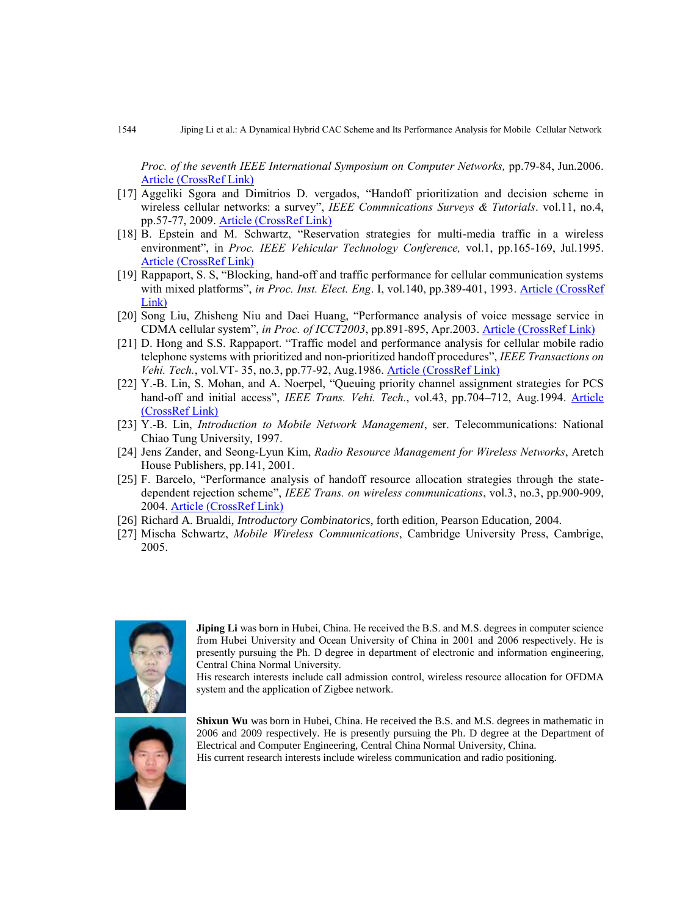*Proc. of the seventh IEEE International Symposium on Computer Networks,* pp.79-84, Jun.2006. [Article \(CrossRef Link\)](http://dx.doi.org/DOI:10.1109/ISCN.2006.1662512)

- [17] Aggeliki Sgora and Dimitrios D. vergados, "Handoff prioritization and decision scheme in wireless cellular networks: a survey", *IEEE Commnications Surveys & Tutorials*. vol.11, no.4, pp.57-77, 2009. [Article \(CrossRef Link\)](http://dx.doi.org/DOI:10.1109/SURV.2009.090405)
- [18] B. Epstein and M. Schwartz, "Reservation strategies for multi-media traffic in a wireless environment", in *Proc. IEEE Vehicular Technology Conference,* vol.1, pp.165-169, Jul.1995. [Article \(CrossRef Link\)](http://dx.doi.org/DOI:10.1109/VETEC.1995.504850)
- [19] Rappaport, S. S, "Blocking, hand-off and traffic performance for cellular communication systems with mixed platforms", *in Proc. Inst. Elect. Eng*. I, vol.140, pp.389-401, 1993. [Article \(CrossRef](http://ieeexplore.ieee.org/xpl/login.jsp?tp=&arnumber=240160&url=http%3A%2F%2Fieeexplore.ieee.org%2Fiel1%2F2215%2F6172%2F00240160.pdf%3Farnumber%3D240160)  [Link\)](http://ieeexplore.ieee.org/xpl/login.jsp?tp=&arnumber=240160&url=http%3A%2F%2Fieeexplore.ieee.org%2Fiel1%2F2215%2F6172%2F00240160.pdf%3Farnumber%3D240160)
- [20] Song Liu, Zhisheng Niu and Daei Huang, "Performance analysis of voice message service in CDMA cellular system", *in Proc. of ICCT2003*, pp.891-895, Apr.2003. [Article \(CrossRef Link\)](http://dx.doi.org/DOI:10.1109/ICCT.2003.1209674)
- [21] D. Hong and S.S. Rappaport. "Traffic model and performance analysis for cellular mobile radio telephone systems with prioritized and non-prioritized handoff procedures", *IEEE Transactions on Vehi. Tech.*, vol.VT- 35, no.3, pp.77-92, Aug.1986. [Article \(CrossRef Link\)](http://dx.doi.org/DOI:10.1109/T-VT.1986.24076)
- [22] Y.-B. Lin, S. Mohan, and A. Noerpel, "Queuing priority channel assignment strategies for PCS hand-off and initial access", *IEEE Trans. Vehi. Tech.*, vol.43, pp.704–712, Aug.1994. [Article](http://dx.doi.org/DOI:10.1109/25.312778)  [\(CrossRef Link\)](http://dx.doi.org/DOI:10.1109/25.312778)
- [23] Y.-B. Lin, *Introduction to Mobile Network Management*, ser. Telecommunications: National Chiao Tung University, 1997.
- [24] Jens Zander, and Seong-Lyun Kim, *Radio Resource Management for Wireless Networks*, Aretch House Publishers, pp.141, 2001.
- [25] F. Barcelo, "Performance analysis of handoff resource allocation strategies through the statedependent rejection scheme", *IEEE Trans. on wireless communications*, vol.3, no.3, pp.900-909, 2004. [Article \(CrossRef Link\)](http://dx.doi.org/DOI:10.1109/TWC.2004.826310)
- [26] Richard A. Brualdi, *Introductory Combinatorics*, forth edition, Pearson Education, 2004.
- [27] Mischa Schwartz, *Mobile Wireless Communications*, Cambridge University Press, Cambrige, 2005.



**Jiping Li** was born in Hubei, China. He received the B.S. and M.S. degrees in computer science from Hubei University and Ocean University of China in 2001 and 2006 respectively. He is presently pursuing the Ph. D degree in department of electronic and information engineering, Central China Normal University.

His research interests include call admission control, wireless resource allocation for OFDMA system and the application of Zigbee network.



**Shixun Wu** was born in Hubei, China. He received the B.S. and M.S. degrees in mathematic in 2006 and 2009 respectively. He is presently pursuing the Ph. D degree at the Department of Electrical and Computer Engineering, Central China Normal University, China. His current research interests include wireless communication and radio positioning.